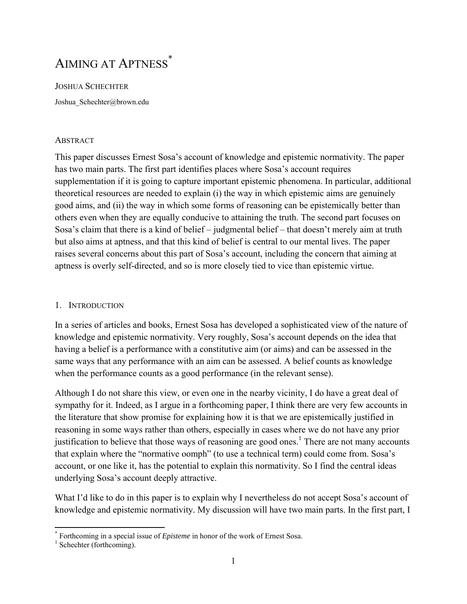# AIMING AT APTNESS<sup>\*</sup>

JOSHUA SCHECHTER Joshua Schechter@brown.edu

## **ABSTRACT**

This paper discusses Ernest Sosa's account of knowledge and epistemic normativity. The paper has two main parts. The first part identifies places where Sosa's account requires supplementation if it is going to capture important epistemic phenomena. In particular, additional theoretical resources are needed to explain (i) the way in which epistemic aims are genuinely good aims, and (ii) the way in which some forms of reasoning can be epistemically better than others even when they are equally conducive to attaining the truth. The second part focuses on Sosa's claim that there is a kind of belief – judgmental belief – that doesn't merely aim at truth but also aims at aptness, and that this kind of belief is central to our mental lives. The paper raises several concerns about this part of Sosa's account, including the concern that aiming at aptness is overly self-directed, and so is more closely tied to vice than epistemic virtue.

## 1. INTRODUCTION

In a series of articles and books, Ernest Sosa has developed a sophisticated view of the nature of knowledge and epistemic normativity. Very roughly, Sosa's account depends on the idea that having a belief is a performance with a constitutive aim (or aims) and can be assessed in the same ways that any performance with an aim can be assessed. A belief counts as knowledge when the performance counts as a good performance (in the relevant sense).

Although I do not share this view, or even one in the nearby vicinity, I do have a great deal of sympathy for it. Indeed, as I argue in a forthcoming paper, I think there are very few accounts in the literature that show promise for explaining how it is that we are epistemically justified in reasoning in some ways rather than others, especially in cases where we do not have any prior justification to believe that those ways of reasoning are good ones.<sup>1</sup> There are not many accounts that explain where the "normative oomph" (to use a technical term) could come from. Sosa's account, or one like it, has the potential to explain this normativity. So I find the central ideas underlying Sosa's account deeply attractive.

What I'd like to do in this paper is to explain why I nevertheless do not accept Sosa's account of knowledge and epistemic normativity. My discussion will have two main parts. In the first part, I

<sup>\*</sup> Forthcoming in a special issue of *Episteme* in honor of the work of Ernest Sosa.  $\frac{1}{1}$  Schookter (forthcoming)

 $\frac{1}{1}$  Schechter (forthcoming).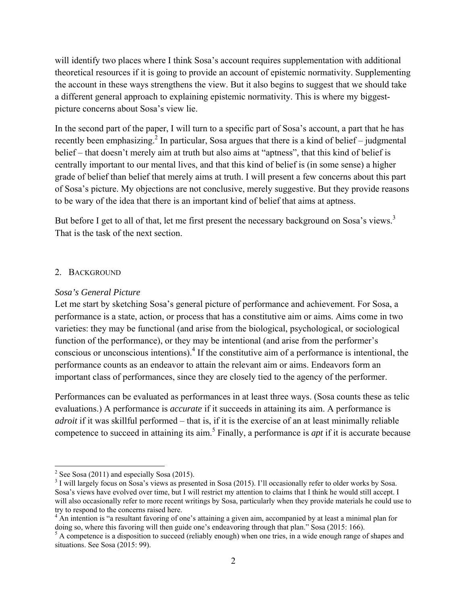will identify two places where I think Sosa's account requires supplementation with additional theoretical resources if it is going to provide an account of epistemic normativity. Supplementing the account in these ways strengthens the view. But it also begins to suggest that we should take a different general approach to explaining epistemic normativity. This is where my biggestpicture concerns about Sosa's view lie.

In the second part of the paper, I will turn to a specific part of Sosa's account, a part that he has recently been emphasizing.<sup>2</sup> In particular, Sosa argues that there is a kind of belief – judgmental belief – that doesn't merely aim at truth but also aims at "aptness", that this kind of belief is centrally important to our mental lives, and that this kind of belief is (in some sense) a higher grade of belief than belief that merely aims at truth. I will present a few concerns about this part of Sosa's picture. My objections are not conclusive, merely suggestive. But they provide reasons to be wary of the idea that there is an important kind of belief that aims at aptness.

But before I get to all of that, let me first present the necessary background on Sosa's views.<sup>3</sup> That is the task of the next section.

## 2. BACKGROUND

## *Sosa's General Picture*

Let me start by sketching Sosa's general picture of performance and achievement. For Sosa, a performance is a state, action, or process that has a constitutive aim or aims. Aims come in two varieties: they may be functional (and arise from the biological, psychological, or sociological function of the performance), or they may be intentional (and arise from the performer's conscious or unconscious intentions). If the constitutive aim of a performance is intentional, the performance counts as an endeavor to attain the relevant aim or aims. Endeavors form an important class of performances, since they are closely tied to the agency of the performer.

Performances can be evaluated as performances in at least three ways. (Sosa counts these as telic evaluations.) A performance is *accurate* if it succeeds in attaining its aim. A performance is *adroit* if it was skillful performed – that is, if it is the exercise of an at least minimally reliable competence to succeed in attaining its aim.5 Finally, a performance is *apt* if it is accurate because

<sup>&</sup>lt;sup>2</sup> See Sosa (2011) and especially Sosa (2015).

<sup>&</sup>lt;sup>3</sup> I will largely focus on Sosa's views as presented in Sosa (2015). I'll occasionally refer to older works by Sosa. Sosa's views have evolved over time, but I will restrict my attention to claims that I think he would still accept. I will also occasionally refer to more recent writings by Sosa, particularly when they provide materials he could use to try to respond to the concerns raised here.

<sup>&</sup>lt;sup>4</sup> An intention is "a resultant favoring of one's attaining a given aim, accompanied by at least a minimal plan for doing so, where this favoring will then guide one's endeavoring through that plan." Sosa (2015: 166).<br><sup>5</sup> A competence is a disposition to succeed (reliably enough) when one tries, in a wide enough range of shapes and

situations. See Sosa (2015: 99).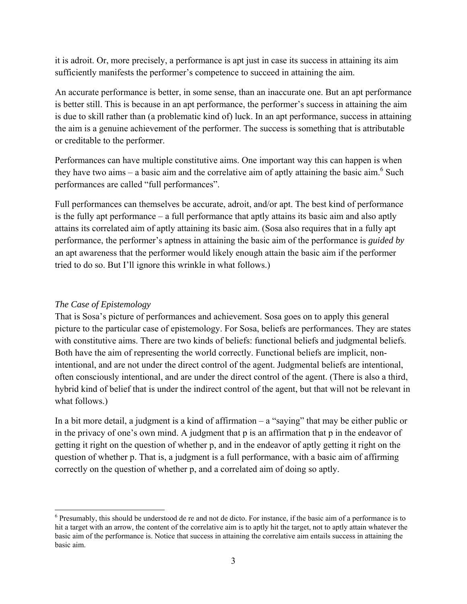it is adroit. Or, more precisely, a performance is apt just in case its success in attaining its aim sufficiently manifests the performer's competence to succeed in attaining the aim.

An accurate performance is better, in some sense, than an inaccurate one. But an apt performance is better still. This is because in an apt performance, the performer's success in attaining the aim is due to skill rather than (a problematic kind of) luck. In an apt performance, success in attaining the aim is a genuine achievement of the performer. The success is something that is attributable or creditable to the performer.

Performances can have multiple constitutive aims. One important way this can happen is when they have two aims – a basic aim and the correlative aim of aptly attaining the basic aim.<sup>6</sup> Such performances are called "full performances".

Full performances can themselves be accurate, adroit, and/or apt. The best kind of performance is the fully apt performance – a full performance that aptly attains its basic aim and also aptly attains its correlated aim of aptly attaining its basic aim. (Sosa also requires that in a fully apt performance, the performer's aptness in attaining the basic aim of the performance is *guided by* an apt awareness that the performer would likely enough attain the basic aim if the performer tried to do so. But I'll ignore this wrinkle in what follows.)

# *The Case of Epistemology*

That is Sosa's picture of performances and achievement. Sosa goes on to apply this general picture to the particular case of epistemology. For Sosa, beliefs are performances. They are states with constitutive aims. There are two kinds of beliefs: functional beliefs and judgmental beliefs. Both have the aim of representing the world correctly. Functional beliefs are implicit, nonintentional, and are not under the direct control of the agent. Judgmental beliefs are intentional, often consciously intentional, and are under the direct control of the agent. (There is also a third, hybrid kind of belief that is under the indirect control of the agent, but that will not be relevant in what follows.)

In a bit more detail, a judgment is a kind of affirmation – a "saying" that may be either public or in the privacy of one's own mind. A judgment that p is an affirmation that p in the endeavor of getting it right on the question of whether p, and in the endeavor of aptly getting it right on the question of whether p. That is, a judgment is a full performance, with a basic aim of affirming correctly on the question of whether p, and a correlated aim of doing so aptly.

 $6$  Presumably, this should be understood de re and not de dicto. For instance, if the basic aim of a performance is to hit a target with an arrow, the content of the correlative aim is to aptly hit the target, not to aptly attain whatever the basic aim of the performance is. Notice that success in attaining the correlative aim entails success in attaining the basic aim.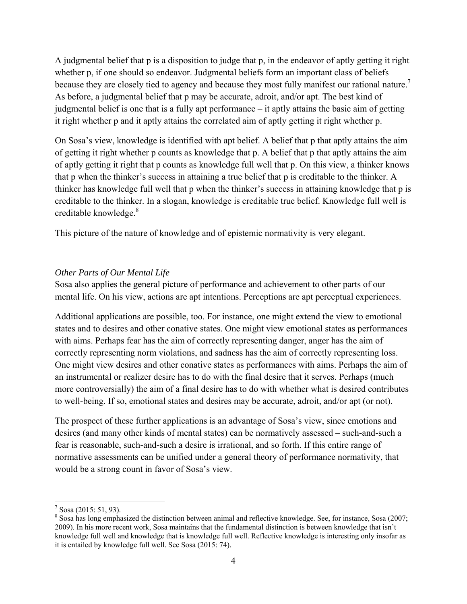A judgmental belief that p is a disposition to judge that p, in the endeavor of aptly getting it right whether p, if one should so endeavor. Judgmental beliefs form an important class of beliefs because they are closely tied to agency and because they most fully manifest our rational nature.<sup>7</sup> As before, a judgmental belief that p may be accurate, adroit, and/or apt. The best kind of judgmental belief is one that is a fully apt performance – it aptly attains the basic aim of getting it right whether p and it aptly attains the correlated aim of aptly getting it right whether p.

On Sosa's view, knowledge is identified with apt belief. A belief that p that aptly attains the aim of getting it right whether p counts as knowledge that p. A belief that p that aptly attains the aim of aptly getting it right that p counts as knowledge full well that p. On this view, a thinker knows that p when the thinker's success in attaining a true belief that p is creditable to the thinker. A thinker has knowledge full well that p when the thinker's success in attaining knowledge that p is creditable to the thinker. In a slogan, knowledge is creditable true belief. Knowledge full well is creditable knowledge.<sup>8</sup>

This picture of the nature of knowledge and of epistemic normativity is very elegant.

# *Other Parts of Our Mental Life*

Sosa also applies the general picture of performance and achievement to other parts of our mental life. On his view, actions are apt intentions. Perceptions are apt perceptual experiences.

Additional applications are possible, too. For instance, one might extend the view to emotional states and to desires and other conative states. One might view emotional states as performances with aims. Perhaps fear has the aim of correctly representing danger, anger has the aim of correctly representing norm violations, and sadness has the aim of correctly representing loss. One might view desires and other conative states as performances with aims. Perhaps the aim of an instrumental or realizer desire has to do with the final desire that it serves. Perhaps (much more controversially) the aim of a final desire has to do with whether what is desired contributes to well-being. If so, emotional states and desires may be accurate, adroit, and/or apt (or not).

The prospect of these further applications is an advantage of Sosa's view, since emotions and desires (and many other kinds of mental states) can be normatively assessed – such-and-such a fear is reasonable, such-and-such a desire is irrational, and so forth. If this entire range of normative assessments can be unified under a general theory of performance normativity, that would be a strong count in favor of Sosa's view.

 $7$  Sosa (2015: 51, 93).

 $8$  Sosa has long emphasized the distinction between animal and reflective knowledge. See, for instance, Sosa (2007; 2009). In his more recent work, Sosa maintains that the fundamental distinction is between knowledge that isn't knowledge full well and knowledge that is knowledge full well. Reflective knowledge is interesting only insofar as it is entailed by knowledge full well. See Sosa (2015: 74).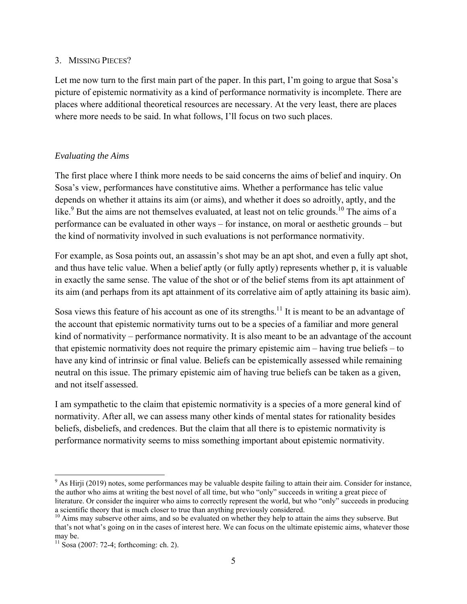## 3. MISSING PIECES?

Let me now turn to the first main part of the paper. In this part, I'm going to argue that Sosa's picture of epistemic normativity as a kind of performance normativity is incomplete. There are places where additional theoretical resources are necessary. At the very least, there are places where more needs to be said. In what follows, I'll focus on two such places.

# *Evaluating the Aims*

The first place where I think more needs to be said concerns the aims of belief and inquiry. On Sosa's view, performances have constitutive aims. Whether a performance has telic value depends on whether it attains its aim (or aims), and whether it does so adroitly, aptly, and the like.<sup>9</sup> But the aims are not themselves evaluated, at least not on telic grounds.<sup>10</sup> The aims of a performance can be evaluated in other ways – for instance, on moral or aesthetic grounds – but the kind of normativity involved in such evaluations is not performance normativity.

For example, as Sosa points out, an assassin's shot may be an apt shot, and even a fully apt shot, and thus have telic value. When a belief aptly (or fully aptly) represents whether p, it is valuable in exactly the same sense. The value of the shot or of the belief stems from its apt attainment of its aim (and perhaps from its apt attainment of its correlative aim of aptly attaining its basic aim).

Sosa views this feature of his account as one of its strengths.<sup>11</sup> It is meant to be an advantage of the account that epistemic normativity turns out to be a species of a familiar and more general kind of normativity – performance normativity. It is also meant to be an advantage of the account that epistemic normativity does not require the primary epistemic aim – having true beliefs – to have any kind of intrinsic or final value. Beliefs can be epistemically assessed while remaining neutral on this issue. The primary epistemic aim of having true beliefs can be taken as a given, and not itself assessed.

I am sympathetic to the claim that epistemic normativity is a species of a more general kind of normativity. After all, we can assess many other kinds of mental states for rationality besides beliefs, disbeliefs, and credences. But the claim that all there is to epistemic normativity is performance normativity seems to miss something important about epistemic normativity.

 $9$  As Hirji (2019) notes, some performances may be valuable despite failing to attain their aim. Consider for instance, the author who aims at writing the best novel of all time, but who "only" succeeds in writing a great piece of literature. Or consider the inquirer who aims to correctly represent the world, but who "only" succeeds in producing a scientific theory that is much closer to true than anything previously considered.

 $10$  Aims may subserve other aims, and so be evaluated on whether they help to attain the aims they subserve. But that's not what's going on in the cases of interest here. We can focus on the ultimate epistemic aims, whatever those may be.

 $11$  Sosa (2007: 72-4; forthcoming: ch. 2).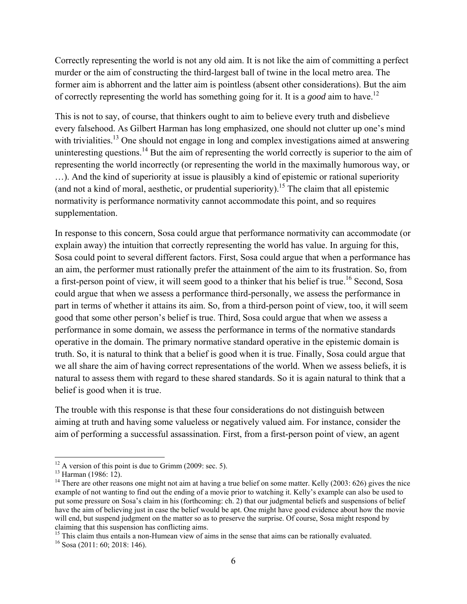Correctly representing the world is not any old aim. It is not like the aim of committing a perfect murder or the aim of constructing the third-largest ball of twine in the local metro area. The former aim is abhorrent and the latter aim is pointless (absent other considerations). But the aim of correctly representing the world has something going for it. It is a *good* aim to have.12

This is not to say, of course, that thinkers ought to aim to believe every truth and disbelieve every falsehood. As Gilbert Harman has long emphasized, one should not clutter up one's mind with trivialities.<sup>13</sup> One should not engage in long and complex investigations aimed at answering uninteresting questions.<sup>14</sup> But the aim of representing the world correctly is superior to the aim of representing the world incorrectly (or representing the world in the maximally humorous way, or …). And the kind of superiority at issue is plausibly a kind of epistemic or rational superiority (and not a kind of moral, aesthetic, or prudential superiority). 15 The claim that all epistemic normativity is performance normativity cannot accommodate this point, and so requires supplementation.

In response to this concern, Sosa could argue that performance normativity can accommodate (or explain away) the intuition that correctly representing the world has value. In arguing for this, Sosa could point to several different factors. First, Sosa could argue that when a performance has an aim, the performer must rationally prefer the attainment of the aim to its frustration. So, from a first-person point of view, it will seem good to a thinker that his belief is true.<sup>16</sup> Second, Sosa could argue that when we assess a performance third-personally, we assess the performance in part in terms of whether it attains its aim. So, from a third-person point of view, too, it will seem good that some other person's belief is true. Third, Sosa could argue that when we assess a performance in some domain, we assess the performance in terms of the normative standards operative in the domain. The primary normative standard operative in the epistemic domain is truth. So, it is natural to think that a belief is good when it is true. Finally, Sosa could argue that we all share the aim of having correct representations of the world. When we assess beliefs, it is natural to assess them with regard to these shared standards. So it is again natural to think that a belief is good when it is true.

The trouble with this response is that these four considerations do not distinguish between aiming at truth and having some valueless or negatively valued aim. For instance, consider the aim of performing a successful assassination. First, from a first-person point of view, an agent

<sup>15</sup> This claim thus entails a non-Humean view of aims in the sense that aims can be rationally evaluated.

 $12$  A version of this point is due to Grimm (2009: sec. 5).

<sup>&</sup>lt;sup>13</sup> Harman (1986: 12).

<sup>&</sup>lt;sup>14</sup> There are other reasons one might not aim at having a true belief on some matter. Kelly  $(2003: 626)$  gives the nice example of not wanting to find out the ending of a movie prior to watching it. Kelly's example can also be used to put some pressure on Sosa's claim in his (forthcoming: ch. 2) that our judgmental beliefs and suspensions of belief have the aim of believing just in case the belief would be apt. One might have good evidence about how the movie will end, but suspend judgment on the matter so as to preserve the surprise. Of course, Sosa might respond by claiming that this suspension has conflicting aims.

 $16$  Sosa (2011: 60; 2018: 146).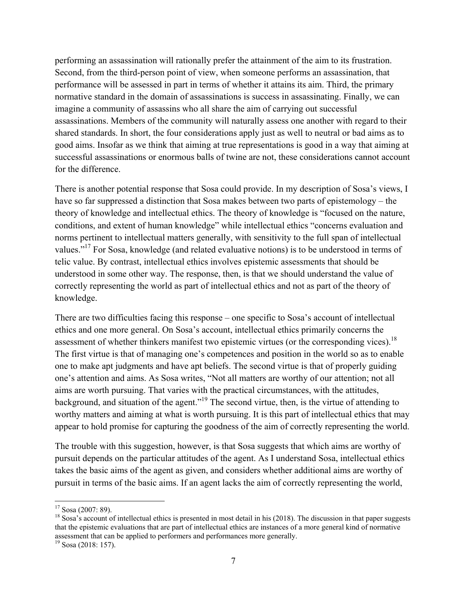performing an assassination will rationally prefer the attainment of the aim to its frustration. Second, from the third-person point of view, when someone performs an assassination, that performance will be assessed in part in terms of whether it attains its aim. Third, the primary normative standard in the domain of assassinations is success in assassinating. Finally, we can imagine a community of assassins who all share the aim of carrying out successful assassinations. Members of the community will naturally assess one another with regard to their shared standards. In short, the four considerations apply just as well to neutral or bad aims as to good aims. Insofar as we think that aiming at true representations is good in a way that aiming at successful assassinations or enormous balls of twine are not, these considerations cannot account for the difference.

There is another potential response that Sosa could provide. In my description of Sosa's views, I have so far suppressed a distinction that Sosa makes between two parts of epistemology – the theory of knowledge and intellectual ethics. The theory of knowledge is "focused on the nature, conditions, and extent of human knowledge" while intellectual ethics "concerns evaluation and norms pertinent to intellectual matters generally, with sensitivity to the full span of intellectual values."17 For Sosa, knowledge (and related evaluative notions) is to be understood in terms of telic value. By contrast, intellectual ethics involves epistemic assessments that should be understood in some other way. The response, then, is that we should understand the value of correctly representing the world as part of intellectual ethics and not as part of the theory of knowledge.

There are two difficulties facing this response – one specific to Sosa's account of intellectual ethics and one more general. On Sosa's account, intellectual ethics primarily concerns the assessment of whether thinkers manifest two epistemic virtues (or the corresponding vices).<sup>18</sup> The first virtue is that of managing one's competences and position in the world so as to enable one to make apt judgments and have apt beliefs. The second virtue is that of properly guiding one's attention and aims. As Sosa writes, "Not all matters are worthy of our attention; not all aims are worth pursuing. That varies with the practical circumstances, with the attitudes, background, and situation of the agent."19 The second virtue, then, is the virtue of attending to worthy matters and aiming at what is worth pursuing. It is this part of intellectual ethics that may appear to hold promise for capturing the goodness of the aim of correctly representing the world.

The trouble with this suggestion, however, is that Sosa suggests that which aims are worthy of pursuit depends on the particular attitudes of the agent. As I understand Sosa, intellectual ethics takes the basic aims of the agent as given, and considers whether additional aims are worthy of pursuit in terms of the basic aims. If an agent lacks the aim of correctly representing the world,

 $17$  Sosa (2007: 89).

 $^{18}$  Sosa's account of intellectual ethics is presented in most detail in his (2018). The discussion in that paper suggests that the epistemic evaluations that are part of intellectual ethics are instances of a more general kind of normative assessment that can be applied to performers and performances more generally.

 $19$  Sosa (2018: 157).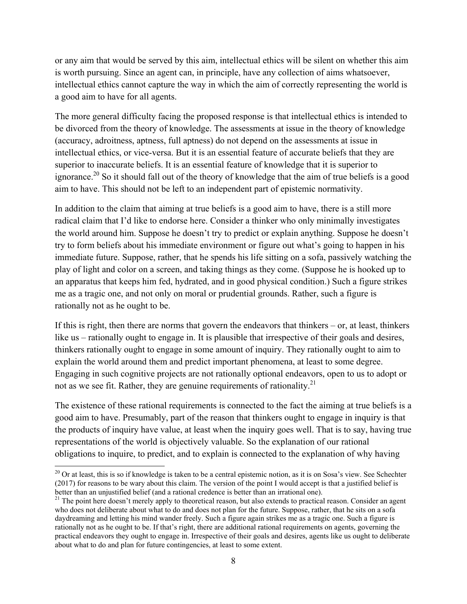or any aim that would be served by this aim, intellectual ethics will be silent on whether this aim is worth pursuing. Since an agent can, in principle, have any collection of aims whatsoever, intellectual ethics cannot capture the way in which the aim of correctly representing the world is a good aim to have for all agents.

The more general difficulty facing the proposed response is that intellectual ethics is intended to be divorced from the theory of knowledge. The assessments at issue in the theory of knowledge (accuracy, adroitness, aptness, full aptness) do not depend on the assessments at issue in intellectual ethics, or vice-versa. But it is an essential feature of accurate beliefs that they are superior to inaccurate beliefs. It is an essential feature of knowledge that it is superior to ignorance.<sup>20</sup> So it should fall out of the theory of knowledge that the aim of true beliefs is a good aim to have. This should not be left to an independent part of epistemic normativity.

In addition to the claim that aiming at true beliefs is a good aim to have, there is a still more radical claim that I'd like to endorse here. Consider a thinker who only minimally investigates the world around him. Suppose he doesn't try to predict or explain anything. Suppose he doesn't try to form beliefs about his immediate environment or figure out what's going to happen in his immediate future. Suppose, rather, that he spends his life sitting on a sofa, passively watching the play of light and color on a screen, and taking things as they come. (Suppose he is hooked up to an apparatus that keeps him fed, hydrated, and in good physical condition.) Such a figure strikes me as a tragic one, and not only on moral or prudential grounds. Rather, such a figure is rationally not as he ought to be.

If this is right, then there are norms that govern the endeavors that thinkers – or, at least, thinkers like us – rationally ought to engage in. It is plausible that irrespective of their goals and desires, thinkers rationally ought to engage in some amount of inquiry. They rationally ought to aim to explain the world around them and predict important phenomena, at least to some degree. Engaging in such cognitive projects are not rationally optional endeavors, open to us to adopt or not as we see fit. Rather, they are genuine requirements of rationality.<sup>21</sup>

The existence of these rational requirements is connected to the fact the aiming at true beliefs is a good aim to have. Presumably, part of the reason that thinkers ought to engage in inquiry is that the products of inquiry have value, at least when the inquiry goes well. That is to say, having true representations of the world is objectively valuable. So the explanation of our rational obligations to inquire, to predict, and to explain is connected to the explanation of why having

 $20$  Or at least, this is so if knowledge is taken to be a central epistemic notion, as it is on Sosa's view. See Schechter (2017) for reasons to be wary about this claim. The version of the point I would accept is that a justified belief is better than an unjustified belief (and a rational credence is better than an irrational one).

<sup>&</sup>lt;sup>21</sup> The point here doesn't merely apply to theoretical reason, but also extends to practical reason. Consider an agent who does not deliberate about what to do and does not plan for the future. Suppose, rather, that he sits on a sofa daydreaming and letting his mind wander freely. Such a figure again strikes me as a tragic one. Such a figure is rationally not as he ought to be. If that's right, there are additional rational requirements on agents, governing the practical endeavors they ought to engage in. Irrespective of their goals and desires, agents like us ought to deliberate about what to do and plan for future contingencies, at least to some extent.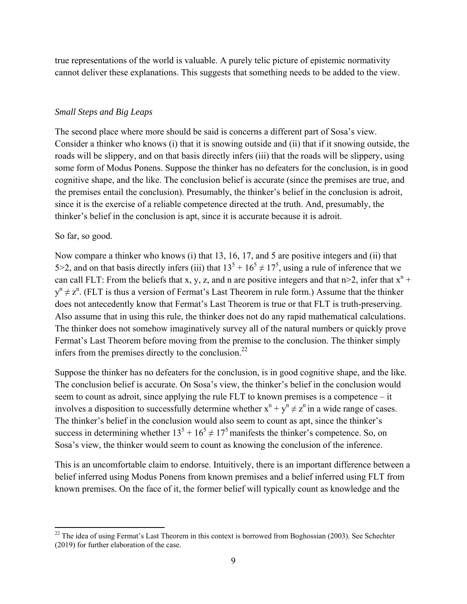true representations of the world is valuable. A purely telic picture of epistemic normativity cannot deliver these explanations. This suggests that something needs to be added to the view.

#### *Small Steps and Big Leaps*

The second place where more should be said is concerns a different part of Sosa's view. Consider a thinker who knows (i) that it is snowing outside and (ii) that if it snowing outside, the roads will be slippery, and on that basis directly infers (iii) that the roads will be slippery, using some form of Modus Ponens. Suppose the thinker has no defeaters for the conclusion, is in good cognitive shape, and the like. The conclusion belief is accurate (since the premises are true, and the premises entail the conclusion). Presumably, the thinker's belief in the conclusion is adroit, since it is the exercise of a reliable competence directed at the truth. And, presumably, the thinker's belief in the conclusion is apt, since it is accurate because it is adroit.

#### So far, so good.

Now compare a thinker who knows (i) that 13, 16, 17, and 5 are positive integers and (ii) that 5>2, and on that basis directly infers (iii) that  $13^5 + 16^5 \neq 17^5$ , using a rule of inference that we can call FLT: From the beliefs that x, y, z, and n are positive integers and that  $n > 2$ , infer that  $x^n$  +  $y^{n} \neq z^{n}$ . (FLT is thus a version of Fermat's Last Theorem in rule form.) Assume that the thinker does not antecedently know that Fermat's Last Theorem is true or that FLT is truth-preserving. Also assume that in using this rule, the thinker does not do any rapid mathematical calculations. The thinker does not somehow imaginatively survey all of the natural numbers or quickly prove Fermat's Last Theorem before moving from the premise to the conclusion. The thinker simply infers from the premises directly to the conclusion. $^{22}$ 

Suppose the thinker has no defeaters for the conclusion, is in good cognitive shape, and the like. The conclusion belief is accurate. On Sosa's view, the thinker's belief in the conclusion would seem to count as adroit, since applying the rule FLT to known premises is a competence – it involves a disposition to successfully determine whether  $x^n + y^n \neq z^n$  in a wide range of cases. The thinker's belief in the conclusion would also seem to count as apt, since the thinker's success in determining whether  $13^5 + 16^5 \neq 17^5$  manifests the thinker's competence. So, on Sosa's view, the thinker would seem to count as knowing the conclusion of the inference.

This is an uncomfortable claim to endorse. Intuitively, there is an important difference between a belief inferred using Modus Ponens from known premises and a belief inferred using FLT from known premises. On the face of it, the former belief will typically count as knowledge and the

<sup>&</sup>lt;sup>22</sup> The idea of using Fermat's Last Theorem in this context is borrowed from Boghossian (2003). See Schechter (2019) for further elaboration of the case.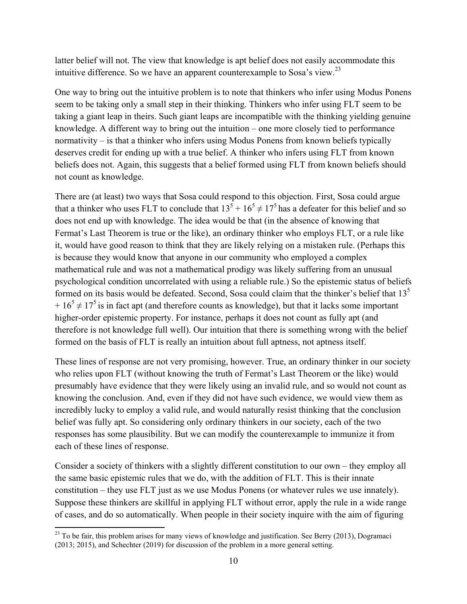latter belief will not. The view that knowledge is apt belief does not easily accommodate this intuitive difference. So we have an apparent counterexample to Sosa's view.<sup>23</sup>

One way to bring out the intuitive problem is to note that thinkers who infer using Modus Ponens seem to be taking only a small step in their thinking. Thinkers who infer using FLT seem to be taking a giant leap in theirs. Such giant leaps are incompatible with the thinking yielding genuine knowledge. A different way to bring out the intuition – one more closely tied to performance normativity – is that a thinker who infers using Modus Ponens from known beliefs typically deserves credit for ending up with a true belief. A thinker who infers using FLT from known beliefs does not. Again, this suggests that a belief formed using FLT from known beliefs should not count as knowledge.

There are (at least) two ways that Sosa could respond to this objection. First, Sosa could argue that a thinker who uses FLT to conclude that  $13^5 + 16^5 \neq 17^5$  has a defeater for this belief and so does not end up with knowledge. The idea would be that (in the absence of knowing that Fermat's Last Theorem is true or the like), an ordinary thinker who employs FLT, or a rule like it, would have good reason to think that they are likely relying on a mistaken rule. (Perhaps this is because they would know that anyone in our community who employed a complex mathematical rule and was not a mathematical prodigy was likely suffering from an unusual psychological condition uncorrelated with using a reliable rule.) So the epistemic status of beliefs formed on its basis would be defeated. Second, Sosa could claim that the thinker's belief that  $13<sup>5</sup>$  $+16<sup>5</sup> \neq 17<sup>5</sup>$  is in fact apt (and therefore counts as knowledge), but that it lacks some important higher-order epistemic property. For instance, perhaps it does not count as fully apt (and therefore is not knowledge full well). Our intuition that there is something wrong with the belief formed on the basis of FLT is really an intuition about full aptness, not aptness itself.

These lines of response are not very promising, however. True, an ordinary thinker in our society who relies upon FLT (without knowing the truth of Fermat's Last Theorem or the like) would presumably have evidence that they were likely using an invalid rule, and so would not count as knowing the conclusion. And, even if they did not have such evidence, we would view them as incredibly lucky to employ a valid rule, and would naturally resist thinking that the conclusion belief was fully apt. So considering only ordinary thinkers in our society, each of the two responses has some plausibility. But we can modify the counterexample to immunize it from each of these lines of response.

Consider a society of thinkers with a slightly different constitution to our own – they employ all the same basic epistemic rules that we do, with the addition of FLT. This is their innate constitution – they use FLT just as we use Modus Ponens (or whatever rules we use innately). Suppose these thinkers are skillful in applying FLT without error, apply the rule in a wide range of cases, and do so automatically. When people in their society inquire with the aim of figuring

 $^{23}$  To be fair, this problem arises for many views of knowledge and justification. See Berry (2013), Dogramaci (2013; 2015), and Schechter (2019) for discussion of the problem in a more general setting.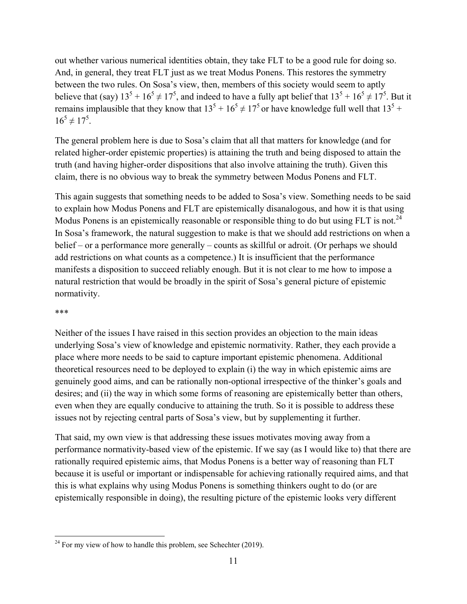out whether various numerical identities obtain, they take FLT to be a good rule for doing so. And, in general, they treat FLT just as we treat Modus Ponens. This restores the symmetry between the two rules. On Sosa's view, then, members of this society would seem to aptly believe that (say)  $13^5 + 16^5 \neq 17^5$ , and indeed to have a fully apt belief that  $13^5 + 16^5 \neq 17^5$ . But it remains implausible that they know that  $13^5 + 16^5 \neq 17^5$  or have knowledge full well that  $13^5 +$  $16^5 \neq 17^5$ .

The general problem here is due to Sosa's claim that all that matters for knowledge (and for related higher-order epistemic properties) is attaining the truth and being disposed to attain the truth (and having higher-order dispositions that also involve attaining the truth). Given this claim, there is no obvious way to break the symmetry between Modus Ponens and FLT.

This again suggests that something needs to be added to Sosa's view. Something needs to be said to explain how Modus Ponens and FLT are epistemically disanalogous, and how it is that using Modus Ponens is an epistemically reasonable or responsible thing to do but using FLT is not.<sup>24</sup> In Sosa's framework, the natural suggestion to make is that we should add restrictions on when a belief – or a performance more generally – counts as skillful or adroit. (Or perhaps we should add restrictions on what counts as a competence.) It is insufficient that the performance manifests a disposition to succeed reliably enough. But it is not clear to me how to impose a natural restriction that would be broadly in the spirit of Sosa's general picture of epistemic normativity.

#### \*\*\*

Neither of the issues I have raised in this section provides an objection to the main ideas underlying Sosa's view of knowledge and epistemic normativity. Rather, they each provide a place where more needs to be said to capture important epistemic phenomena. Additional theoretical resources need to be deployed to explain (i) the way in which epistemic aims are genuinely good aims, and can be rationally non-optional irrespective of the thinker's goals and desires; and (ii) the way in which some forms of reasoning are epistemically better than others, even when they are equally conducive to attaining the truth. So it is possible to address these issues not by rejecting central parts of Sosa's view, but by supplementing it further.

That said, my own view is that addressing these issues motivates moving away from a performance normativity-based view of the epistemic. If we say (as I would like to) that there are rationally required epistemic aims, that Modus Ponens is a better way of reasoning than FLT because it is useful or important or indispensable for achieving rationally required aims, and that this is what explains why using Modus Ponens is something thinkers ought to do (or are epistemically responsible in doing), the resulting picture of the epistemic looks very different

  $^{24}$  For my view of how to handle this problem, see Schechter (2019).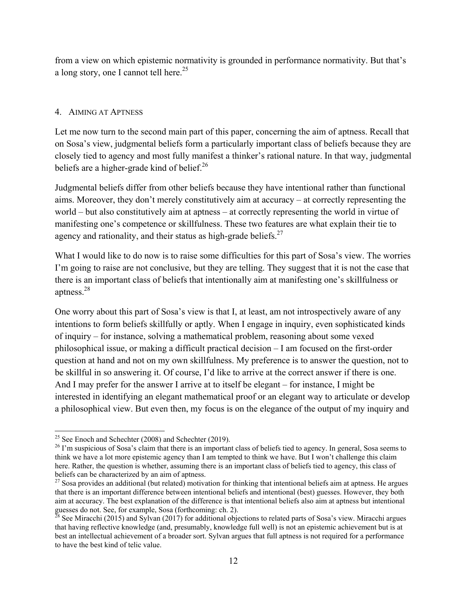from a view on which epistemic normativity is grounded in performance normativity. But that's a long story, one I cannot tell here.<sup>25</sup>

# 4. AIMING AT APTNESS

Let me now turn to the second main part of this paper, concerning the aim of aptness. Recall that on Sosa's view, judgmental beliefs form a particularly important class of beliefs because they are closely tied to agency and most fully manifest a thinker's rational nature. In that way, judgmental beliefs are a higher-grade kind of belief. $^{26}$ 

Judgmental beliefs differ from other beliefs because they have intentional rather than functional aims. Moreover, they don't merely constitutively aim at accuracy – at correctly representing the world – but also constitutively aim at aptness – at correctly representing the world in virtue of manifesting one's competence or skillfulness. These two features are what explain their tie to agency and rationality, and their status as high-grade beliefs. $27$ 

What I would like to do now is to raise some difficulties for this part of Sosa's view. The worries I'm going to raise are not conclusive, but they are telling. They suggest that it is not the case that there is an important class of beliefs that intentionally aim at manifesting one's skillfulness or aptness.28

One worry about this part of Sosa's view is that I, at least, am not introspectively aware of any intentions to form beliefs skillfully or aptly. When I engage in inquiry, even sophisticated kinds of inquiry – for instance, solving a mathematical problem, reasoning about some vexed philosophical issue, or making a difficult practical decision – I am focused on the first-order question at hand and not on my own skillfulness. My preference is to answer the question, not to be skillful in so answering it. Of course, I'd like to arrive at the correct answer if there is one. And I may prefer for the answer I arrive at to itself be elegant – for instance, I might be interested in identifying an elegant mathematical proof or an elegant way to articulate or develop a philosophical view. But even then, my focus is on the elegance of the output of my inquiry and

<sup>&</sup>lt;sup>25</sup> See Enoch and Schechter (2008) and Schechter (2019).

<sup>&</sup>lt;sup>26</sup> I'm suspicious of Sosa's claim that there is an important class of beliefs tied to agency. In general, Sosa seems to think we have a lot more epistemic agency than I am tempted to think we have. But I won't challenge this claim here. Rather, the question is whether, assuming there is an important class of beliefs tied to agency, this class of beliefs can be characterized by an aim of aptness.

 $27$  Sosa provides an additional (but related) motivation for thinking that intentional beliefs aim at aptness. He argues that there is an important difference between intentional beliefs and intentional (best) guesses. However, they both aim at accuracy. The best explanation of the difference is that intentional beliefs also aim at aptness but intentional guesses do not. See, for example, Sosa (forthcoming: ch. 2).

 $^{\text{28}}$  See Miracchi (2015) and Sylvan (2017) for additional objections to related parts of Sosa's view. Miracchi argues that having reflective knowledge (and, presumably, knowledge full well) is not an epistemic achievement but is at best an intellectual achievement of a broader sort. Sylvan argues that full aptness is not required for a performance to have the best kind of telic value.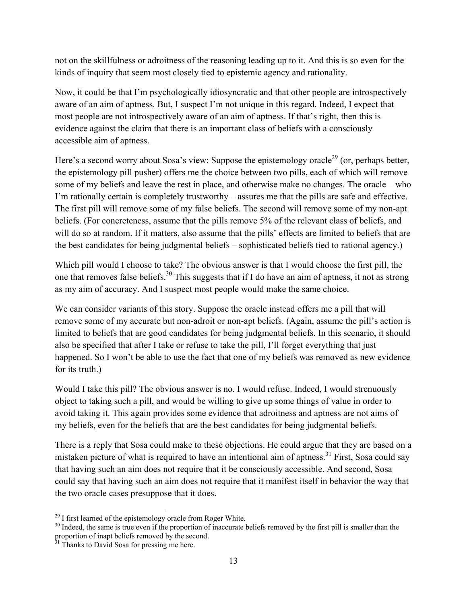not on the skillfulness or adroitness of the reasoning leading up to it. And this is so even for the kinds of inquiry that seem most closely tied to epistemic agency and rationality.

Now, it could be that I'm psychologically idiosyncratic and that other people are introspectively aware of an aim of aptness. But, I suspect I'm not unique in this regard. Indeed, I expect that most people are not introspectively aware of an aim of aptness. If that's right, then this is evidence against the claim that there is an important class of beliefs with a consciously accessible aim of aptness.

Here's a second worry about Sosa's view: Suppose the epistemology oracle<sup>29</sup> (or, perhaps better, the epistemology pill pusher) offers me the choice between two pills, each of which will remove some of my beliefs and leave the rest in place, and otherwise make no changes. The oracle – who I'm rationally certain is completely trustworthy – assures me that the pills are safe and effective. The first pill will remove some of my false beliefs. The second will remove some of my non-apt beliefs. (For concreteness, assume that the pills remove 5% of the relevant class of beliefs, and will do so at random. If it matters, also assume that the pills' effects are limited to beliefs that are the best candidates for being judgmental beliefs – sophisticated beliefs tied to rational agency.)

Which pill would I choose to take? The obvious answer is that I would choose the first pill, the one that removes false beliefs.<sup>30</sup> This suggests that if I do have an aim of aptness, it not as strong as my aim of accuracy. And I suspect most people would make the same choice.

We can consider variants of this story. Suppose the oracle instead offers me a pill that will remove some of my accurate but non-adroit or non-apt beliefs. (Again, assume the pill's action is limited to beliefs that are good candidates for being judgmental beliefs. In this scenario, it should also be specified that after I take or refuse to take the pill, I'll forget everything that just happened. So I won't be able to use the fact that one of my beliefs was removed as new evidence for its truth.)

Would I take this pill? The obvious answer is no. I would refuse. Indeed, I would strenuously object to taking such a pill, and would be willing to give up some things of value in order to avoid taking it. This again provides some evidence that adroitness and aptness are not aims of my beliefs, even for the beliefs that are the best candidates for being judgmental beliefs.

There is a reply that Sosa could make to these objections. He could argue that they are based on a mistaken picture of what is required to have an intentional aim of aptness.<sup>31</sup> First, Sosa could say that having such an aim does not require that it be consciously accessible. And second, Sosa could say that having such an aim does not require that it manifest itself in behavior the way that the two oracle cases presuppose that it does.

  $^{29}$  I first learned of the epistemology oracle from Roger White.

<sup>&</sup>lt;sup>30</sup> Indeed, the same is true even if the proportion of inaccurate beliefs removed by the first pill is smaller than the proportion of inapt beliefs removed by the second.

 $31$  Thanks to David Sosa for pressing me here.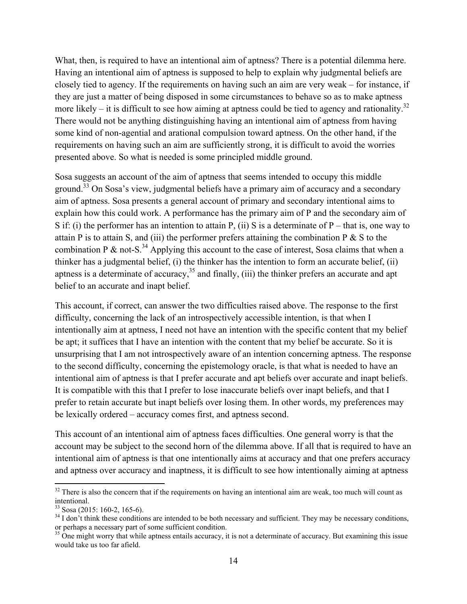What, then, is required to have an intentional aim of aptness? There is a potential dilemma here. Having an intentional aim of aptness is supposed to help to explain why judgmental beliefs are closely tied to agency. If the requirements on having such an aim are very weak – for instance, if they are just a matter of being disposed in some circumstances to behave so as to make aptness more likely – it is difficult to see how aiming at aptness could be tied to agency and rationality.<sup>32</sup> There would not be anything distinguishing having an intentional aim of aptness from having some kind of non-agential and arational compulsion toward aptness. On the other hand, if the requirements on having such an aim are sufficiently strong, it is difficult to avoid the worries presented above. So what is needed is some principled middle ground.

Sosa suggests an account of the aim of aptness that seems intended to occupy this middle ground.<sup>33</sup> On Sosa's view, judgmental beliefs have a primary aim of accuracy and a secondary aim of aptness. Sosa presents a general account of primary and secondary intentional aims to explain how this could work. A performance has the primary aim of P and the secondary aim of S if: (i) the performer has an intention to attain P, (ii) S is a determinate of P – that is, one way to attain P is to attain S, and (iii) the performer prefers attaining the combination P  $\&$  S to the combination P & not-S.<sup>34</sup> Applying this account to the case of interest, Sosa claims that when a thinker has a judgmental belief, (i) the thinker has the intention to form an accurate belief, (ii) aptness is a determinate of accuracy,  $35$  and finally, (iii) the thinker prefers an accurate and apt belief to an accurate and inapt belief.

This account, if correct, can answer the two difficulties raised above. The response to the first difficulty, concerning the lack of an introspectively accessible intention, is that when I intentionally aim at aptness, I need not have an intention with the specific content that my belief be apt; it suffices that I have an intention with the content that my belief be accurate. So it is unsurprising that I am not introspectively aware of an intention concerning aptness. The response to the second difficulty, concerning the epistemology oracle, is that what is needed to have an intentional aim of aptness is that I prefer accurate and apt beliefs over accurate and inapt beliefs. It is compatible with this that I prefer to lose inaccurate beliefs over inapt beliefs, and that I prefer to retain accurate but inapt beliefs over losing them. In other words, my preferences may be lexically ordered – accuracy comes first, and aptness second.

This account of an intentional aim of aptness faces difficulties. One general worry is that the account may be subject to the second horn of the dilemma above. If all that is required to have an intentional aim of aptness is that one intentionally aims at accuracy and that one prefers accuracy and aptness over accuracy and inaptness, it is difficult to see how intentionally aiming at aptness

 $32$  There is also the concern that if the requirements on having an intentional aim are weak, too much will count as intentional.

 $33$  Sosa (2015: 160-2, 165-6).

<sup>&</sup>lt;sup>34</sup> I don't think these conditions are intended to be both necessary and sufficient. They may be necessary conditions, or perhaps a necessary part of some sufficient condition.

 $35$  One might worry that while aptness entails accuracy, it is not a determinate of accuracy. But examining this issue would take us too far afield.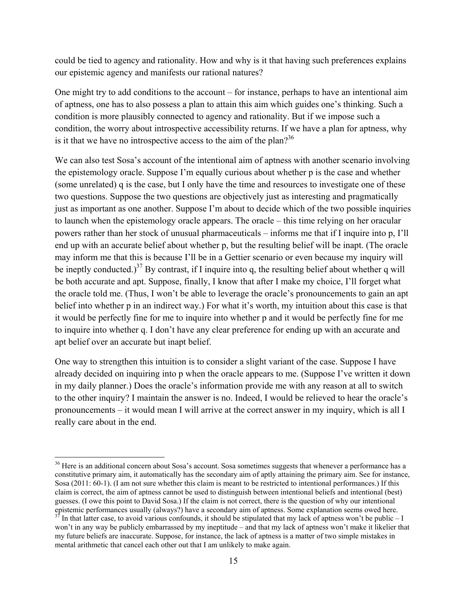could be tied to agency and rationality. How and why is it that having such preferences explains our epistemic agency and manifests our rational natures?

One might try to add conditions to the account – for instance, perhaps to have an intentional aim of aptness, one has to also possess a plan to attain this aim which guides one's thinking. Such a condition is more plausibly connected to agency and rationality. But if we impose such a condition, the worry about introspective accessibility returns. If we have a plan for aptness, why is it that we have no introspective access to the aim of the plan?<sup>36</sup>

We can also test Sosa's account of the intentional aim of aptness with another scenario involving the epistemology oracle. Suppose I'm equally curious about whether p is the case and whether (some unrelated) q is the case, but I only have the time and resources to investigate one of these two questions. Suppose the two questions are objectively just as interesting and pragmatically just as important as one another. Suppose I'm about to decide which of the two possible inquiries to launch when the epistemology oracle appears. The oracle – this time relying on her oracular powers rather than her stock of unusual pharmaceuticals – informs me that if I inquire into p, I'll end up with an accurate belief about whether p, but the resulting belief will be inapt. (The oracle may inform me that this is because I'll be in a Gettier scenario or even because my inquiry will be ineptly conducted.)<sup>37</sup> By contrast, if I inquire into q, the resulting belief about whether q will be both accurate and apt. Suppose, finally, I know that after I make my choice, I'll forget what the oracle told me. (Thus, I won't be able to leverage the oracle's pronouncements to gain an apt belief into whether p in an indirect way.) For what it's worth, my intuition about this case is that it would be perfectly fine for me to inquire into whether p and it would be perfectly fine for me to inquire into whether q. I don't have any clear preference for ending up with an accurate and apt belief over an accurate but inapt belief.

One way to strengthen this intuition is to consider a slight variant of the case. Suppose I have already decided on inquiring into p when the oracle appears to me. (Suppose I've written it down in my daily planner.) Does the oracle's information provide me with any reason at all to switch to the other inquiry? I maintain the answer is no. Indeed, I would be relieved to hear the oracle's pronouncements – it would mean I will arrive at the correct answer in my inquiry, which is all I really care about in the end.

 <sup>36</sup> Here is an additional concern about Sosa's account. Sosa sometimes suggests that whenever a performance has a constitutive primary aim, it automatically has the secondary aim of aptly attaining the primary aim. See for instance, Sosa (2011: 60-1). (I am not sure whether this claim is meant to be restricted to intentional performances.) If this claim is correct, the aim of aptness cannot be used to distinguish between intentional beliefs and intentional (best) guesses. (I owe this point to David Sosa.) If the claim is not correct, there is the question of why our intentional epistemic performances usually (always?) have a secondary aim of aptness. Some explanation seems owed here.

In that latter case, to avoid various confounds, it should be stipulated that my lack of aptness won't be public - I won't in any way be publicly embarrassed by my ineptitude – and that my lack of aptness won't make it likelier that my future beliefs are inaccurate. Suppose, for instance, the lack of aptness is a matter of two simple mistakes in mental arithmetic that cancel each other out that I am unlikely to make again.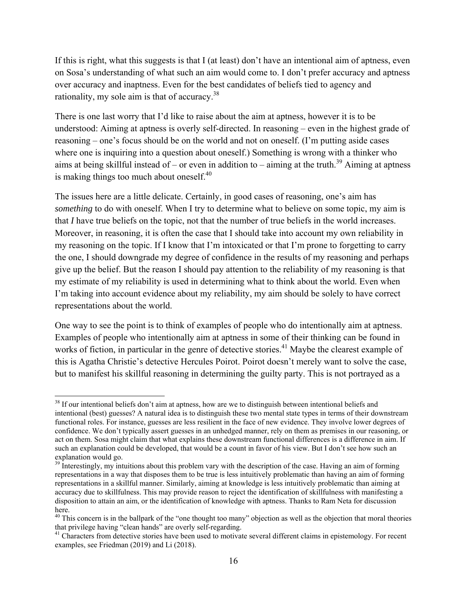If this is right, what this suggests is that I (at least) don't have an intentional aim of aptness, even on Sosa's understanding of what such an aim would come to. I don't prefer accuracy and aptness over accuracy and inaptness. Even for the best candidates of beliefs tied to agency and rationality, my sole aim is that of accuracy.<sup>38</sup>

There is one last worry that I'd like to raise about the aim at aptness, however it is to be understood: Aiming at aptness is overly self-directed. In reasoning – even in the highest grade of reasoning – one's focus should be on the world and not on oneself. (I'm putting aside cases where one is inquiring into a question about oneself.) Something is wrong with a thinker who aims at being skillful instead of – or even in addition to – aiming at the truth.<sup>39</sup> Aiming at aptness is making things too much about oneself. $40$ 

The issues here are a little delicate. Certainly, in good cases of reasoning, one's aim has *something* to do with oneself. When I try to determine what to believe on some topic, my aim is that *I* have true beliefs on the topic, not that the number of true beliefs in the world increases. Moreover, in reasoning, it is often the case that I should take into account my own reliability in my reasoning on the topic. If I know that I'm intoxicated or that I'm prone to forgetting to carry the one, I should downgrade my degree of confidence in the results of my reasoning and perhaps give up the belief. But the reason I should pay attention to the reliability of my reasoning is that my estimate of my reliability is used in determining what to think about the world. Even when I'm taking into account evidence about my reliability, my aim should be solely to have correct representations about the world.

One way to see the point is to think of examples of people who do intentionally aim at aptness. Examples of people who intentionally aim at aptness in some of their thinking can be found in works of fiction, in particular in the genre of detective stories.<sup>41</sup> Maybe the clearest example of this is Agatha Christie's detective Hercules Poirot. Poirot doesn't merely want to solve the case, but to manifest his skillful reasoning in determining the guilty party. This is not portrayed as a

<sup>&</sup>lt;sup>38</sup> If our intentional beliefs don't aim at aptness, how are we to distinguish between intentional beliefs and intentional (best) guesses? A natural idea is to distinguish these two mental state types in terms of their downstream functional roles. For instance, guesses are less resilient in the face of new evidence. They involve lower degrees of confidence. We don't typically assert guesses in an unhedged manner, rely on them as premises in our reasoning, or act on them. Sosa might claim that what explains these downstream functional differences is a difference in aim. If such an explanation could be developed, that would be a count in favor of his view. But I don't see how such an explanation would go.

 $39$  Interestingly, my intuitions about this problem vary with the description of the case. Having an aim of forming representations in a way that disposes them to be true is less intuitively problematic than having an aim of forming representations in a skillful manner. Similarly, aiming at knowledge is less intuitively problematic than aiming at accuracy due to skillfulness. This may provide reason to reject the identification of skillfulness with manifesting a disposition to attain an aim, or the identification of knowledge with aptness. Thanks to Ram Neta for discussion here.

 $40$  This concern is in the ballpark of the "one thought too many" objection as well as the objection that moral theories that privilege having "clean hands" are overly self-regarding.

 $41$  Characters from detective stories have been used to motivate several different claims in epistemology. For recent examples, see Friedman (2019) and Li (2018).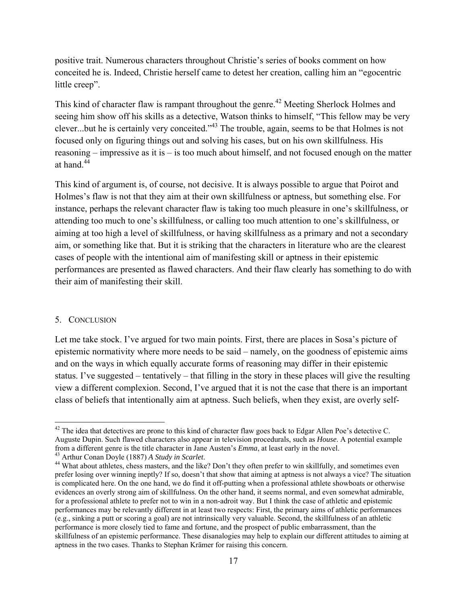positive trait. Numerous characters throughout Christie's series of books comment on how conceited he is. Indeed, Christie herself came to detest her creation, calling him an "egocentric little creep".

This kind of character flaw is rampant throughout the genre.<sup>42</sup> Meeting Sherlock Holmes and seeing him show off his skills as a detective, Watson thinks to himself, "This fellow may be very clever...but he is certainly very conceited."43 The trouble, again, seems to be that Holmes is not focused only on figuring things out and solving his cases, but on his own skillfulness. His reasoning – impressive as it is – is too much about himself, and not focused enough on the matter at hand.44

This kind of argument is, of course, not decisive. It is always possible to argue that Poirot and Holmes's flaw is not that they aim at their own skillfulness or aptness, but something else. For instance, perhaps the relevant character flaw is taking too much pleasure in one's skillfulness, or attending too much to one's skillfulness, or calling too much attention to one's skillfulness, or aiming at too high a level of skillfulness, or having skillfulness as a primary and not a secondary aim, or something like that. But it is striking that the characters in literature who are the clearest cases of people with the intentional aim of manifesting skill or aptness in their epistemic performances are presented as flawed characters. And their flaw clearly has something to do with their aim of manifesting their skill.

### 5. CONCLUSION

Let me take stock. I've argued for two main points. First, there are places in Sosa's picture of epistemic normativity where more needs to be said – namely, on the goodness of epistemic aims and on the ways in which equally accurate forms of reasoning may differ in their epistemic status. I've suggested – tentatively – that filling in the story in these places will give the resulting view a different complexion. Second, I've argued that it is not the case that there is an important class of beliefs that intentionally aim at aptness. Such beliefs, when they exist, are overly self-

 $42$  The idea that detectives are prone to this kind of character flaw goes back to Edgar Allen Poe's detective C. Auguste Dupin. Such flawed characters also appear in television procedurals, such as *House*. A potential example from a different genre is the title character in Jane Austen's *Emma*, at least early in the novel.

<sup>&</sup>lt;sup>44</sup> What about athletes, chess masters, and the like? Don't they often prefer to win skillfully, and sometimes even prefer losing over winning ineptly? If so, doesn't that show that aiming at aptness is not always a vice? The situation is complicated here. On the one hand, we do find it off-putting when a professional athlete showboats or otherwise evidences an overly strong aim of skillfulness. On the other hand, it seems normal, and even somewhat admirable, for a professional athlete to prefer not to win in a non-adroit way. But I think the case of athletic and epistemic performances may be relevantly different in at least two respects: First, the primary aims of athletic performances (e.g., sinking a putt or scoring a goal) are not intrinsically very valuable. Second, the skillfulness of an athletic performance is more closely tied to fame and fortune, and the prospect of public embarrassment, than the skillfulness of an epistemic performance. These disanalogies may help to explain our different attitudes to aiming at aptness in the two cases. Thanks to Stephan Krämer for raising this concern.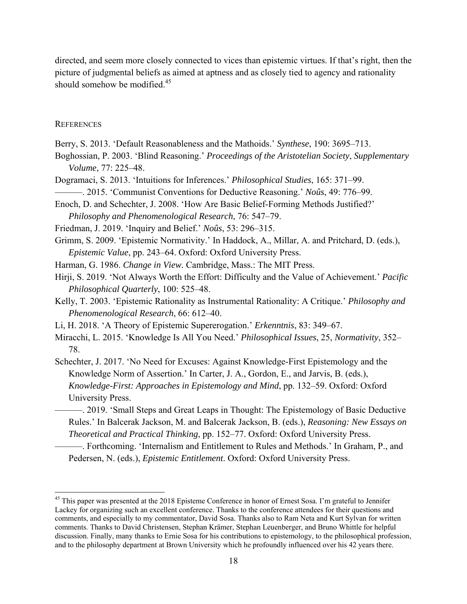directed, and seem more closely connected to vices than epistemic virtues. If that's right, then the picture of judgmental beliefs as aimed at aptness and as closely tied to agency and rationality should somehow be modified.<sup>45</sup>

#### **REFERENCES**

- Berry, S. 2013. 'Default Reasonableness and the Mathoids.' *Synthese*, 190: 3695–713.
- Boghossian, P. 2003. 'Blind Reasoning.' *Proceedings of the Aristotelian Society*, *Supplementary Volume*, 77: 225–48.
- Dogramaci, S. 2013. 'Intuitions for Inferences.' *Philosophical Studies*, 165: 371–99.

———. 2015. 'Communist Conventions for Deductive Reasoning.' *Noûs*, 49: 776–99.

- Enoch, D. and Schechter, J. 2008. 'How Are Basic Belief-Forming Methods Justified?' *Philosophy and Phenomenological Research*, 76: 547–79.
- Friedman, J. 2019. 'Inquiry and Belief.' *Noûs*, 53: 296–315.
- Grimm, S. 2009. 'Epistemic Normativity.' In Haddock, A., Millar, A. and Pritchard, D. (eds.), *Epistemic Value*, pp. 243–64. Oxford: Oxford University Press.
- Harman, G. 1986. *Change in View.* Cambridge, Mass.: The MIT Press.
- Hirji, S. 2019. 'Not Always Worth the Effort: Difficulty and the Value of Achievement.' *Pacific Philosophical Quarterly*, 100: 525–48.
- Kelly, T. 2003. 'Epistemic Rationality as Instrumental Rationality: A Critique.' *Philosophy and Phenomenological Research*, 66: 612–40.
- Li, H. 2018. 'A Theory of Epistemic Supererogation.' *Erkenntnis*, 83: 349–67.
- Miracchi, L. 2015. 'Knowledge Is All You Need.' *Philosophical Issues*, 25, *Normativity*, 352– 78.
- Schechter, J. 2017. 'No Need for Excuses: Against Knowledge-First Epistemology and the Knowledge Norm of Assertion.' In Carter, J. A., Gordon, E., and Jarvis, B. (eds.), *Knowledge-First: Approaches in Epistemology and Mind*, pp. 132–59. Oxford: Oxford University Press.
	- ———. 2019. 'Small Steps and Great Leaps in Thought: The Epistemology of Basic Deductive Rules.' In Balcerak Jackson, M. and Balcerak Jackson, B. (eds.), *Reasoning: New Essays on Theoretical and Practical Thinking*, pp. 152–77. Oxford: Oxford University Press.
		- ———. Forthcoming. 'Internalism and Entitlement to Rules and Methods.' In Graham, P., and Pedersen, N. (eds.), *Epistemic Entitlement*. Oxford: Oxford University Press.

<sup>&</sup>lt;sup>45</sup> This paper was presented at the 2018 Episteme Conference in honor of Ernest Sosa. I'm grateful to Jennifer Lackey for organizing such an excellent conference. Thanks to the conference attendees for their questions and comments, and especially to my commentator, David Sosa. Thanks also to Ram Neta and Kurt Sylvan for written comments. Thanks to David Christensen, Stephan Krämer, Stephan Leuenberger, and Bruno Whittle for helpful discussion. Finally, many thanks to Ernie Sosa for his contributions to epistemology, to the philosophical profession, and to the philosophy department at Brown University which he profoundly influenced over his 42 years there.